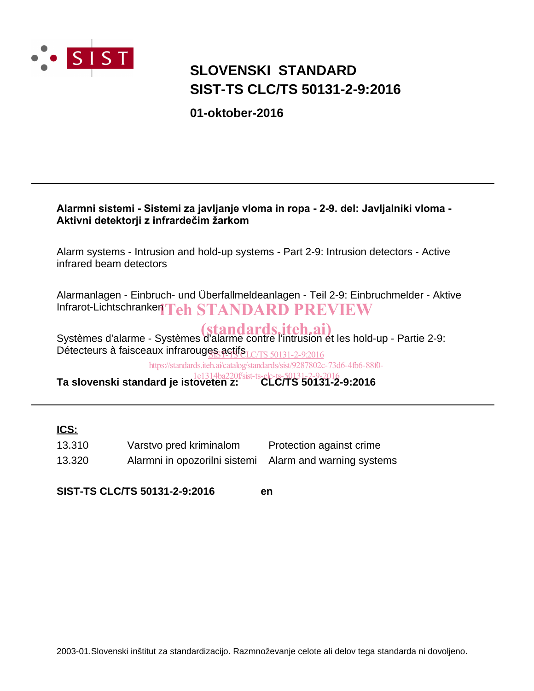

## **SIST-TS CLC/TS 50131-2-9:2016 SLOVENSKI STANDARD**

**01-oktober-2016**

### Alarmni sistemi - Sistemi za javljanje vloma in ropa - 2-9. del: Javljalniki vloma -Aktivni detektorji z infrardečim žarkom

Alarm systems - Intrusion and hold-up systems - Part 2-9: Intrusion detectors - Active infrared beam detectors

Alarmanlagen - Einbruch- und Überfallmeldeanlagen - Teil 2-9: Einbruchmelder - Aktive Infrarot-Lichtschranken Teh STANDARD PREVIEW

Systèmes d'alarme - Systèmes d'alarme contre l'intrusion et les hold-up - Partie 2-9: Détecteurs à faisceaux infrarouges actifs LC/TS 50131-2-9:2016

https://standards.iteh.ai/catalog/standards/sist/9287802c-73d6-4fb6-88f0-

**Ta slovenski standard je istoveten z: CLC/TS 50131-2-9:2016** 1e1314ba220f/sist-ts-clc-ts-50131-2-9-2016

### **ICS:**

| 13.310 | Varstvo pred kriminalom                                 | Protection against crime |
|--------|---------------------------------------------------------|--------------------------|
| 13.320 | Alarmni in opozorilni sistemi Alarm and warning systems |                          |

**SIST-TS CLC/TS 50131-2-9:2016 en**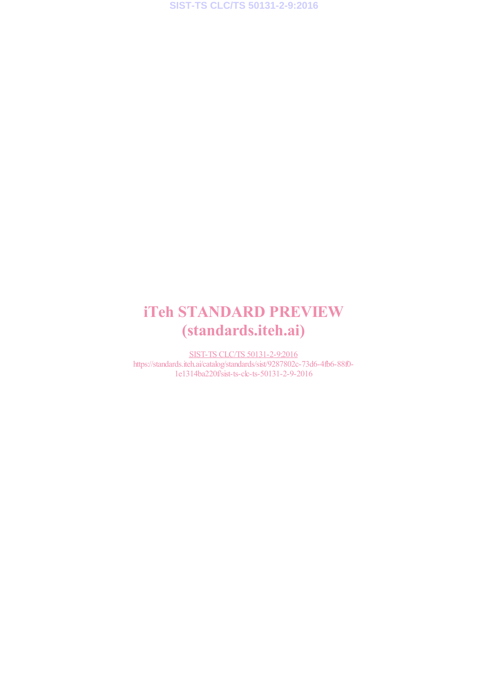# iTeh STANDARD PREVIEW (standards.iteh.ai)

SIST-TS CLC/TS 50131-2-9:2016 https://standards.iteh.ai/catalog/standards/sist/9287802c-73d6-4fb6-88f0- 1e1314ba220f/sist-ts-clc-ts-50131-2-9-2016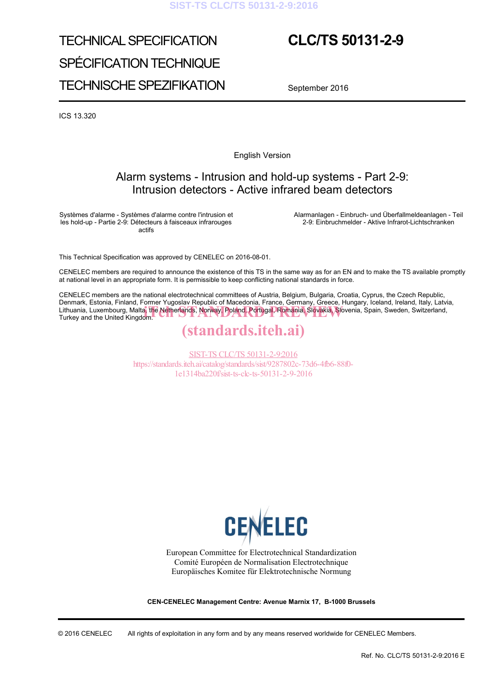#### **SIST-TS CLC/TS 50131-2-9:2016**

# TECHNICAL SPECIFICATION SPÉCIFICATION TECHNIQUE TECHNISCHE SPEZIFIKATION

## **CLC/TS 50131-2-9**

September 2016

ICS 13.320

English Version

### Alarm systems - Intrusion and hold-up systems - Part 2-9: Intrusion detectors - Active infrared beam detectors

Systèmes d'alarme - Systèmes d'alarme contre l'intrusion et les hold-up - Partie 2-9: Détecteurs à faisceaux infrarouges actifs

 Alarmanlagen - Einbruch- und Überfallmeldeanlagen - Teil 2-9: Einbruchmelder - Aktive Infrarot-Lichtschranken

This Technical Specification was approved by CENELEC on 2016-08-01.

CENELEC members are required to announce the existence of this TS in the same way as for an EN and to make the TS available promptly at national level in an appropriate form. It is permissible to keep conflicting national standards in force.

CENELEC members are the national electrotechnical committees of Austria, Belgium, Bulgaria, Croatia, Cyprus, the Czech Republic, Denmark, Estonia, Finland, Former Yugoslav Republic of Macedonia, France, Germany, Greece, Hungary, Iceland, Ireland, Italy, Latvia, Lithuania, Luxembourg, Malta, the Netherlands, Norway, Poland, Portugal, Romania, Slovakia, Slovenia, Spain, Sweden, Switzerland, Turkey and the United Kingdom. Turkey and the United Kingdom.

## (standards.iteh.ai)

SIST-TS CLC/TS 50131-2-9:2016 https://standards.iteh.ai/catalog/standards/sist/9287802c-73d6-4fb6-88f0- 1e1314ba220f/sist-ts-clc-ts-50131-2-9-2016



European Committee for Electrotechnical Standardization Comité Européen de Normalisation Electrotechnique Europäisches Komitee für Elektrotechnische Normung

**CEN-CENELEC Management Centre: Avenue Marnix 17, B-1000 Brussels** 

© 2016 CENELEC All rights of exploitation in any form and by any means reserved worldwide for CENELEC Members.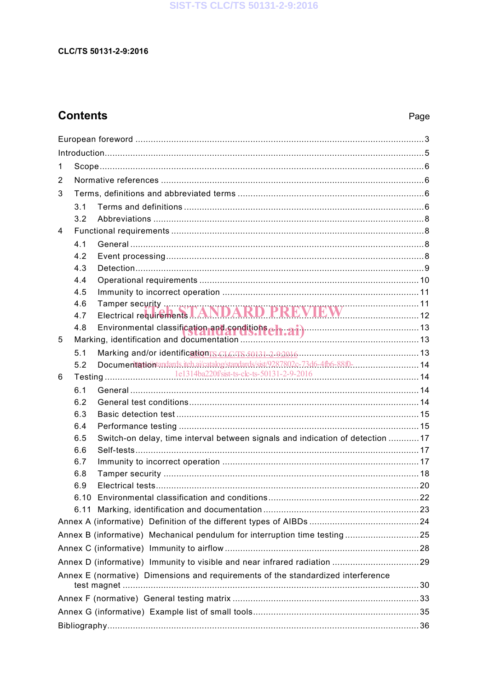## **Contents**

### Page

| 1 |     |                                                                                  |  |
|---|-----|----------------------------------------------------------------------------------|--|
| 2 |     |                                                                                  |  |
| 3 |     |                                                                                  |  |
|   | 3.1 |                                                                                  |  |
|   | 3.2 |                                                                                  |  |
| 4 |     |                                                                                  |  |
|   | 4.1 |                                                                                  |  |
|   | 4.2 |                                                                                  |  |
|   | 4.3 |                                                                                  |  |
|   | 4.4 |                                                                                  |  |
|   | 4.5 |                                                                                  |  |
|   | 4.6 |                                                                                  |  |
|   | 4.7 |                                                                                  |  |
|   |     |                                                                                  |  |
| 5 |     |                                                                                  |  |
|   | 5.1 |                                                                                  |  |
|   | 5.2 | Documentationtandards.itch.ai/catalog/standards/sist/9287802c-73d6-4fb6-88f0- 14 |  |
| 6 |     |                                                                                  |  |
|   | 6.1 |                                                                                  |  |
|   | 6.2 |                                                                                  |  |
|   | 6.3 |                                                                                  |  |
|   | 6.4 |                                                                                  |  |
|   | 6.5 | Switch-on delay, time interval between signals and indication of detection 17    |  |
|   | 6.6 |                                                                                  |  |
|   | 6.7 |                                                                                  |  |
|   | 6.8 |                                                                                  |  |
|   | 6.9 |                                                                                  |  |
|   |     |                                                                                  |  |
|   |     |                                                                                  |  |
|   |     |                                                                                  |  |
|   |     | Annex B (informative) Mechanical pendulum for interruption time testing25        |  |
|   |     |                                                                                  |  |
|   |     |                                                                                  |  |
|   |     | Annex E (normative) Dimensions and requirements of the standardized interference |  |
|   |     |                                                                                  |  |
|   |     |                                                                                  |  |
|   |     |                                                                                  |  |
|   |     |                                                                                  |  |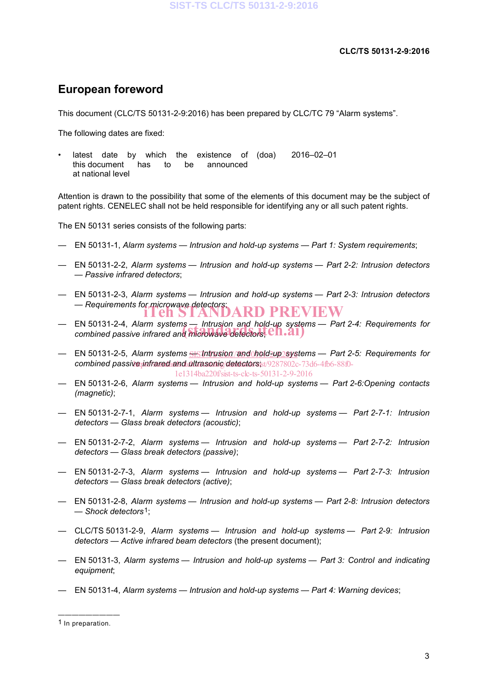## **European foreword**

This document (CLC/TS 50131-2-9:2016) has been prepared by CLC/TC 79 "Alarm systems".

The following dates are fixed:

latest date by which the existence of (doa) this document has to be announced at national level (doa) 2016–02–01

Attention is drawn to the possibility that some of the elements of this document may be the subject of patent rights. CENELEC shall not be held responsible for identifying any or all such patent rights.

The EN 50131 series consists of the following parts:

- EN 50131-1, *Alarm systems Intrusion and hold-up systems Part 1: System requirements*;
- EN 50131-2-2, *Alarm systems Intrusion and hold-up systems Part 2-2: Intrusion detectors — Passive infrared detectors*;
- EN 50131-2-3, *Alarm systems Intrusion and hold-up systems Part 2-3: Intrusion detectors*  — Requirements for microwave detectors;<br> **iTeh STANDARD PREVIEW**
- EN 50131-2-4, *Alarm systems Intrusion and hold-up systems Part 2-4: Requirements for*  EN 50131-2-4, Alarm systems — Intrusion and hold-up syster<br>combined passive infrared and microwave detectors; **CII.21**)
- EN 50131-2-5, *Alarm systems <u>SISTntrusion/and \hold?up?</u>systems Part 2-5: Requirements for* combined passive *infrared and ultrasonic detectors* ist/9287802c-73d6-4fb6-88f0-1e1314ba220f/sist-ts-clc-ts-50131-2-9-2016
- EN 50131-2-6, *Alarm systems Intrusion and hold-up systems Part 2-6:Opening contacts (magnetic)*;
- EN 50131-2-7-1, *Alarm systems Intrusion and hold-up systems Part 2-7-1: Intrusion detectors — Glass break detectors (acoustic)*;
- EN 50131-2-7-2, *Alarm systems Intrusion and hold-up systems Part 2-7-2: Intrusion detectors — Glass break detectors (passive)*;
- EN 50131-2-7-3, *Alarm systems Intrusion and hold-up systems Part 2-7-3: Intrusion detectors — Glass break detectors (active)*;
- EN 50131-2-8, *Alarm systems Intrusion and hold-up systems Part 2-8: Intrusion detectors — Shock detectors*1;
- CLC/TS 50131-2-9, *Alarm systems Intrusion and hold-up systems Part 2-9: Intrusion detectors — Active infrared beam detectors* (the present document);
- EN 50131-3, *Alarm systems Intrusion and hold-up systems Part 3: Control and indicating equipment*;
- EN 50131-4, *Alarm systems Intrusion and hold-up systems Part 4: Warning devices*;

<sup>—————————</sup> 1 In preparation.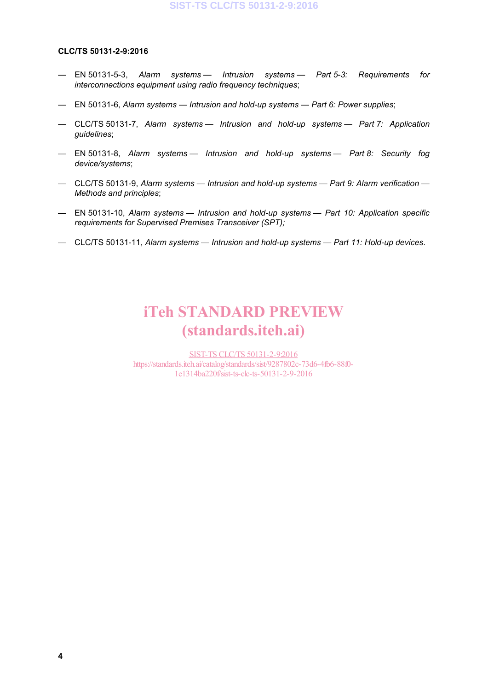- EN 50131-5-3, *Alarm systems Intrusion systems Part 5-3: Requirements for interconnections equipment using radio frequency techniques*;
- EN 50131-6, *Alarm systems Intrusion and hold-up systems Part 6: Power supplies*;
- CLC/TS 50131-7, *Alarm systems Intrusion and hold-up systems Part 7: Application guidelines*;
- EN 50131-8, *Alarm systems Intrusion and hold-up systems Part 8: Security fog device/systems*;
- CLC/TS 50131-9, *Alarm systems Intrusion and hold-up systems Part 9: Alarm verification Methods and principles*;
- EN 50131-10, *Alarm systems Intrusion and hold-up systems Part 10: Application specific requirements for Supervised Premises Transceiver (SPT);*
- CLC/TS 50131-11, *Alarm systems Intrusion and hold-up systems Part 11: Hold-up devices*.

## iTeh STANDARD PREVIEW (standards.iteh.ai)

SIST-TS CLC/TS 50131-2-9:2016 https://standards.iteh.ai/catalog/standards/sist/9287802c-73d6-4fb6-88f0- 1e1314ba220f/sist-ts-clc-ts-50131-2-9-2016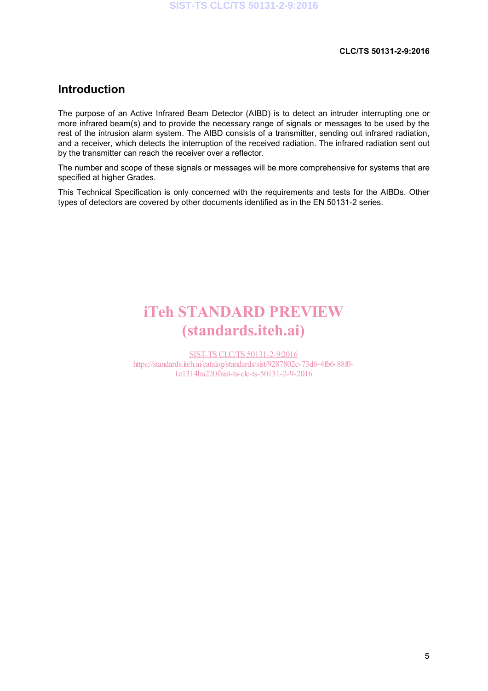## **Introduction**

The purpose of an Active Infrared Beam Detector (AIBD) is to detect an intruder interrupting one or more infrared beam(s) and to provide the necessary range of signals or messages to be used by the rest of the intrusion alarm system. The AIBD consists of a transmitter, sending out infrared radiation, and a receiver, which detects the interruption of the received radiation. The infrared radiation sent out by the transmitter can reach the receiver over a reflector.

The number and scope of these signals or messages will be more comprehensive for systems that are specified at higher Grades.

This Technical Specification is only concerned with the requirements and tests for the AIBDs. Other types of detectors are covered by other documents identified as in the EN 50131-2 series.

# iTeh STANDARD PREVIEW (standards.iteh.ai)

SIST-TS CLC/TS 50131-2-9:2016 https://standards.iteh.ai/catalog/standards/sist/9287802c-73d6-4fb6-88f0- 1e1314ba220f/sist-ts-clc-ts-50131-2-9-2016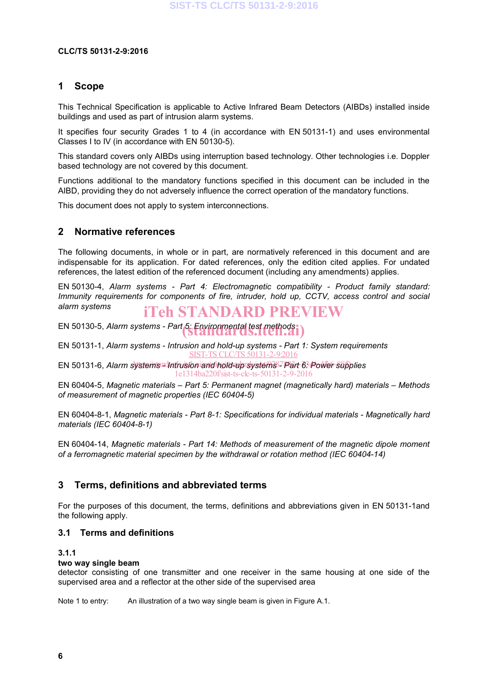### **1 Scope**

This Technical Specification is applicable to Active Infrared Beam Detectors (AIBDs) installed inside buildings and used as part of intrusion alarm systems.

It specifies four security Grades 1 to 4 (in accordance with EN 50131-1) and uses environmental Classes I to IV (in accordance with EN 50130-5).

This standard covers only AIBDs using interruption based technology. Other technologies i.e. Doppler based technology are not covered by this document.

Functions additional to the mandatory functions specified in this document can be included in the AIBD, providing they do not adversely influence the correct operation of the mandatory functions.

This document does not apply to system interconnections.

### **2 Normative references**

The following documents, in whole or in part, are normatively referenced in this document and are indispensable for its application. For dated references, only the edition cited applies. For undated references, the latest edition of the referenced document (including any amendments) applies.

EN 50130-4, *Alarm systems - Part 4: Electromagnetic compatibility - Product family standard: Immunity requirements for components of fire, intruder, hold up, CCTV, access control and social alarm systems* iTeh STANDARD PREVIEW

EN 50130-5, *Alarm systems - Part 5: Environmental test methods* (standards.iteh.ai)

EN 50131-1, *Alarm systems - Intrusion and hold-up systems - Part 1: System requirements* SIST-TS CLC/TS 50131-2-9:2016

EN 50131-6, Alarm systems<sup>nd</sup>intrusion and hold-up systems<sup>37</sup>Part 6<sup>3</sup> Power-supplies 1e1314ba220f/sist-ts-clc-ts-50131-2-9-2016

EN 60404-5, *Magnetic materials – Part 5: Permanent magnet (magnetically hard) materials – Methods of measurement of magnetic properties (IEC 60404-5)*

EN 60404-8-1, *Magnetic materials - Part 8-1: Specifications for individual materials - Magnetically hard materials (IEC 60404-8-1)*

EN 60404-14, *Magnetic materials - Part 14: Methods of measurement of the magnetic dipole moment of a ferromagnetic material specimen by the withdrawal or rotation method (IEC 60404-14)*

### **3 Terms, definitions and abbreviated terms**

For the purposes of this document, the terms, definitions and abbreviations given in EN 50131-1and the following apply.

#### **3.1 Terms and definitions**

#### **3.1.1**

#### **two way single beam**

detector consisting of one transmitter and one receiver in the same housing at one side of the supervised area and a reflector at the other side of the supervised area

Note 1 to entry: An illustration of a two way single beam is given in Figure A.1.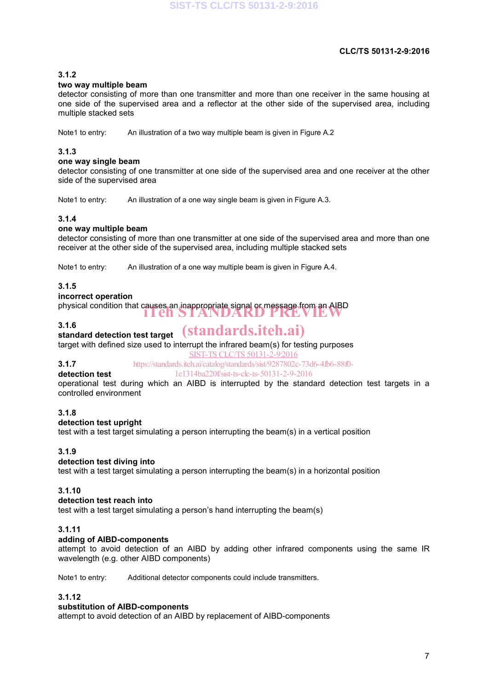#### **3.1.2**

#### **two way multiple beam**

detector consisting of more than one transmitter and more than one receiver in the same housing at one side of the supervised area and a reflector at the other side of the supervised area, including multiple stacked sets

Note1 to entry: An illustration of a two way multiple beam is given in Figure A.2

#### **3.1.3**

#### **one way single beam**

detector consisting of one transmitter at one side of the supervised area and one receiver at the other side of the supervised area

Note1 to entry: An illustration of a one way single beam is given in Figure A.3.

#### **3.1.4**

#### **one way multiple beam**

detector consisting of more than one transmitter at one side of the supervised area and more than one receiver at the other side of the supervised area, including multiple stacked sets

Note1 to entry: An illustration of a one way multiple beam is given in Figure A.4.

#### **3.1.5**

#### **incorrect operation**

physical condition that causes an inappropriate signal or message from an AIBD iTeh STANDARD PREVIEW

#### **3.1.6**

## **standard detection test target** (standards.iteh.ai)

target with defined size used to interrupt the infrared beam(s) for testing purposes

SIST-TS CLC/TS 50131-2-9:2016

#### **3.1.7**

**detection test**

https://standards.iteh.ai/catalog/standards/sist/9287802c-73d6-4fb6-88f0- 1e1314ba220f/sist-ts-clc-ts-50131-2-9-2016

operational test during which an AIBD is interrupted by the standard detection test targets in a controlled environment

#### **3.1.8**

#### **detection test upright**

test with a test target simulating a person interrupting the beam(s) in a vertical position

#### **3.1.9**

#### **detection test diving into**

test with a test target simulating a person interrupting the beam(s) in a horizontal position

#### **3.1.10**

#### **detection test reach into**

test with a test target simulating a person's hand interrupting the beam(s)

#### **3.1.11**

#### **adding of AIBD-components**

attempt to avoid detection of an AIBD by adding other infrared components using the same IR wavelength (e.g. other AIBD components)

Note1 to entry: Additional detector components could include transmitters.

#### **3.1.12**

#### **substitution of AIBD-components**

attempt to avoid detection of an AIBD by replacement of AIBD-components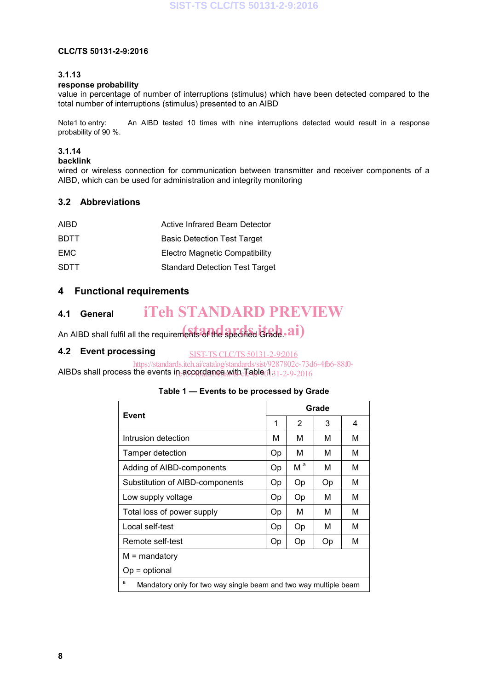#### **3.1.13**

#### **response probability**

value in percentage of number of interruptions (stimulus) which have been detected compared to the total number of interruptions (stimulus) presented to an AIBD

Note1 to entry: An AIBD tested 10 times with nine interruptions detected would result in a response probability of 90 %.

#### **3.1.14**

#### **backlink**

wired or wireless connection for communication between transmitter and receiver components of a AIBD, which can be used for administration and integrity monitoring

#### **3.2 Abbreviations**

| AIBD.       | Active Infrared Beam Detector         |
|-------------|---------------------------------------|
| <b>BDTT</b> | <b>Basic Detection Test Target</b>    |
| EMC         | Electro Magnetic Compatibility        |
| <b>SDTT</b> | <b>Standard Detection Test Target</b> |

### **4 Functional requirements**

#### **4.1 General** iTeh STANDARD PREVIEW

An AIBD shall fulfil all the requirements of the specified Grade. ai)

#### **4.2 Event processing** SIST-TS CLC/TS 50131-2-9:2016

AIBDs shall process the events in accordance with  ${\rm Table}601$ 31-2-9-2016 https://standards.iteh.ai/catalog/standards/sist/9287802c-73d6-4fb6-88f0-

#### **Table 1 — Events to be processed by Grade**

| Event                                                                 |    | Grade          |    |   |  |
|-----------------------------------------------------------------------|----|----------------|----|---|--|
|                                                                       |    | $\overline{2}$ | 3  | 4 |  |
| Intrusion detection                                                   | м  | м              | М  | м |  |
| Tamper detection                                                      | Op | м              | м  | м |  |
| Adding of AIBD-components                                             | Op | M <sup>a</sup> | м  | м |  |
| Substitution of AIBD-components                                       | Op | Op             | Op | м |  |
| Low supply voltage                                                    | Op | Op             | М  | М |  |
| Total loss of power supply                                            |    | М              | М  | М |  |
| Local self-test                                                       | Op | Op             | м  | М |  |
| Remote self-test                                                      |    | Op             | Op | М |  |
| $M =$ mandatory                                                       |    |                |    |   |  |
| $Op =$ optional                                                       |    |                |    |   |  |
| a<br>Mandatory only for two way single beam and two way multiple beam |    |                |    |   |  |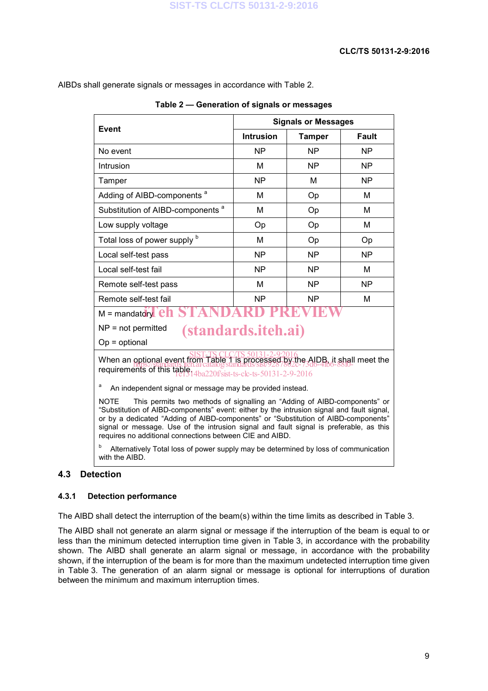AIBDs shall generate signals or messages in accordance with Table 2.

| <b>Event</b>                                                                                                                                                                                                                                                                                                                                                                                                                     | <b>Signals or Messages</b> |               |           |  |
|----------------------------------------------------------------------------------------------------------------------------------------------------------------------------------------------------------------------------------------------------------------------------------------------------------------------------------------------------------------------------------------------------------------------------------|----------------------------|---------------|-----------|--|
|                                                                                                                                                                                                                                                                                                                                                                                                                                  | <b>Intrusion</b>           | <b>Tamper</b> | Fault     |  |
| No event                                                                                                                                                                                                                                                                                                                                                                                                                         | ΝP                         | <b>NP</b>     | <b>NP</b> |  |
| Intrusion                                                                                                                                                                                                                                                                                                                                                                                                                        | м                          | <b>NP</b>     | <b>NP</b> |  |
| Tamper                                                                                                                                                                                                                                                                                                                                                                                                                           | <b>NP</b>                  | м             | <b>NP</b> |  |
| Adding of AIBD-components <sup>a</sup>                                                                                                                                                                                                                                                                                                                                                                                           | M                          | Op            | M         |  |
| Substitution of AIBD-components <sup>a</sup>                                                                                                                                                                                                                                                                                                                                                                                     | м                          | Op            | М         |  |
| Low supply voltage                                                                                                                                                                                                                                                                                                                                                                                                               | Op                         | Op            | M         |  |
| Total loss of power supply b                                                                                                                                                                                                                                                                                                                                                                                                     | M                          | Op            | Op        |  |
| Local self-test pass                                                                                                                                                                                                                                                                                                                                                                                                             | ΝP                         | <b>NP</b>     | <b>NP</b> |  |
| Local self-test fail                                                                                                                                                                                                                                                                                                                                                                                                             | N <sub>P</sub>             | NP            | м         |  |
| Remote self-test pass                                                                                                                                                                                                                                                                                                                                                                                                            | M                          | <b>NP</b>     | <b>NP</b> |  |
| Remote self-test fail                                                                                                                                                                                                                                                                                                                                                                                                            | <b>NP</b>                  | <b>NP</b>     | M         |  |
| $M =$ mandatory $e \ln$                                                                                                                                                                                                                                                                                                                                                                                                          |                            |               |           |  |
| $NP = not permitted$<br><i>(standards.iteh.ai)</i>                                                                                                                                                                                                                                                                                                                                                                               |                            |               |           |  |
| $Op =$ optional                                                                                                                                                                                                                                                                                                                                                                                                                  |                            |               |           |  |
| When an optional event from Table 1 is processed by the AIDB, it shall meet the<br>requirements of this table.                                                                                                                                                                                                                                                                                                                   |                            |               |           |  |
| а<br>An independent signal or message may be provided instead.                                                                                                                                                                                                                                                                                                                                                                   |                            |               |           |  |
| <b>NOTE</b><br>This permits two methods of signalling an "Adding of AIBD-components" or<br>"Substitution of AIBD-components" event: either by the intrusion signal and fault signal,<br>or by a dedicated "Adding of AIBD-components" or "Substitution of AIBD-components"<br>signal or message. Use of the intrusion signal and fault signal is preferable, as this<br>requires no additional connections between CIE and AIBD. |                            |               |           |  |

**Table 2 — Generation of signals or messages**

b Alternatively Total loss of power supply may be determined by loss of communication with the AIBD.

### **4.3 Detection**

#### **4.3.1 Detection performance**

The AIBD shall detect the interruption of the beam(s) within the time limits as described in Table 3.

The AIBD shall not generate an alarm signal or message if the interruption of the beam is equal to or less than the minimum detected interruption time given in Table 3, in accordance with the probability shown. The AIBD shall generate an alarm signal or message, in accordance with the probability shown, if the interruption of the beam is for more than the maximum undetected interruption time given in Table 3. The generation of an alarm signal or message is optional for interruptions of duration between the minimum and maximum interruption times.